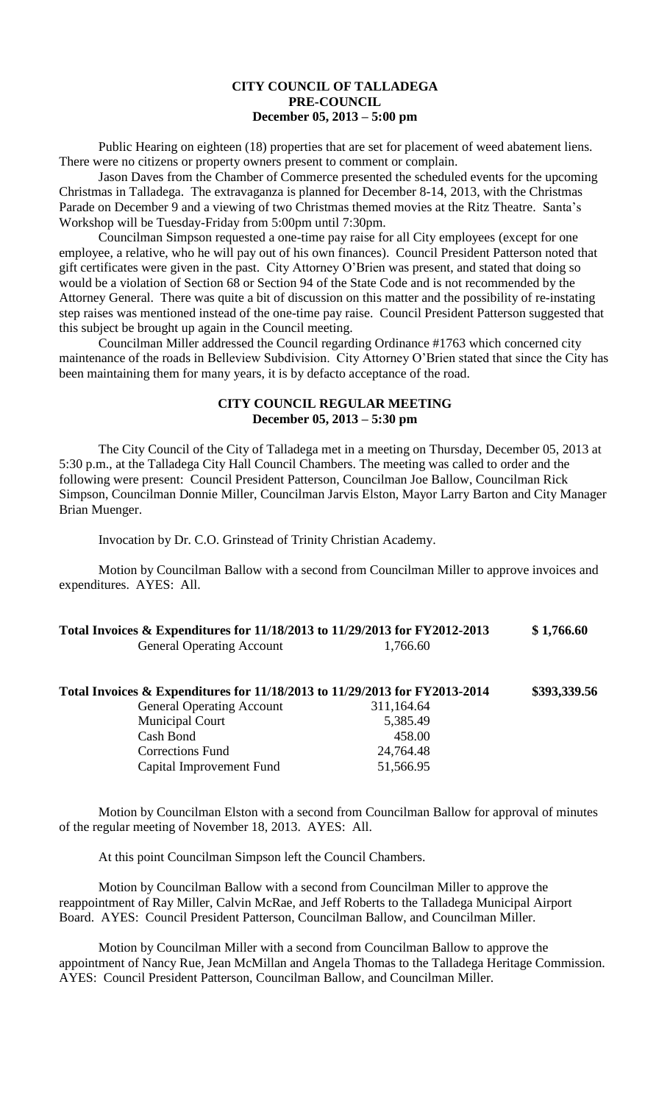## **CITY COUNCIL OF TALLADEGA PRE-COUNCIL December 05, 2013 – 5:00 pm**

Public Hearing on eighteen (18) properties that are set for placement of weed abatement liens. There were no citizens or property owners present to comment or complain.

Jason Daves from the Chamber of Commerce presented the scheduled events for the upcoming Christmas in Talladega. The extravaganza is planned for December 8-14, 2013, with the Christmas Parade on December 9 and a viewing of two Christmas themed movies at the Ritz Theatre. Santa's Workshop will be Tuesday-Friday from 5:00pm until 7:30pm.

Councilman Simpson requested a one-time pay raise for all City employees (except for one employee, a relative, who he will pay out of his own finances). Council President Patterson noted that gift certificates were given in the past. City Attorney O'Brien was present, and stated that doing so would be a violation of Section 68 or Section 94 of the State Code and is not recommended by the Attorney General. There was quite a bit of discussion on this matter and the possibility of re-instating step raises was mentioned instead of the one-time pay raise. Council President Patterson suggested that this subject be brought up again in the Council meeting.

Councilman Miller addressed the Council regarding Ordinance #1763 which concerned city maintenance of the roads in Belleview Subdivision. City Attorney O'Brien stated that since the City has been maintaining them for many years, it is by defacto acceptance of the road.

## **CITY COUNCIL REGULAR MEETING December 05, 2013 – 5:30 pm**

The City Council of the City of Talladega met in a meeting on Thursday, December 05, 2013 at 5:30 p.m., at the Talladega City Hall Council Chambers. The meeting was called to order and the following were present: Council President Patterson, Councilman Joe Ballow, Councilman Rick Simpson, Councilman Donnie Miller, Councilman Jarvis Elston, Mayor Larry Barton and City Manager Brian Muenger.

Invocation by Dr. C.O. Grinstead of Trinity Christian Academy.

Motion by Councilman Ballow with a second from Councilman Miller to approve invoices and expenditures. AYES: All.

| Total Invoices & Expenditures for 11/18/2013 to 11/29/2013 for FY2012-2013 |          | \$1,766.60 |
|----------------------------------------------------------------------------|----------|------------|
| <b>General Operating Account</b>                                           | 1,766.60 |            |

| Total Invoices & Expenditures for 11/18/2013 to 11/29/2013 for FY2013-2014 |            | \$393,339.56 |
|----------------------------------------------------------------------------|------------|--------------|
| <b>General Operating Account</b>                                           | 311,164.64 |              |
| <b>Municipal Court</b>                                                     | 5,385.49   |              |
| Cash Bond                                                                  | 458.00     |              |
| <b>Corrections Fund</b>                                                    | 24,764.48  |              |
| Capital Improvement Fund                                                   | 51,566.95  |              |

Motion by Councilman Elston with a second from Councilman Ballow for approval of minutes of the regular meeting of November 18, 2013. AYES: All.

At this point Councilman Simpson left the Council Chambers.

Motion by Councilman Ballow with a second from Councilman Miller to approve the reappointment of Ray Miller, Calvin McRae, and Jeff Roberts to the Talladega Municipal Airport Board. AYES: Council President Patterson, Councilman Ballow, and Councilman Miller.

Motion by Councilman Miller with a second from Councilman Ballow to approve the appointment of Nancy Rue, Jean McMillan and Angela Thomas to the Talladega Heritage Commission. AYES: Council President Patterson, Councilman Ballow, and Councilman Miller.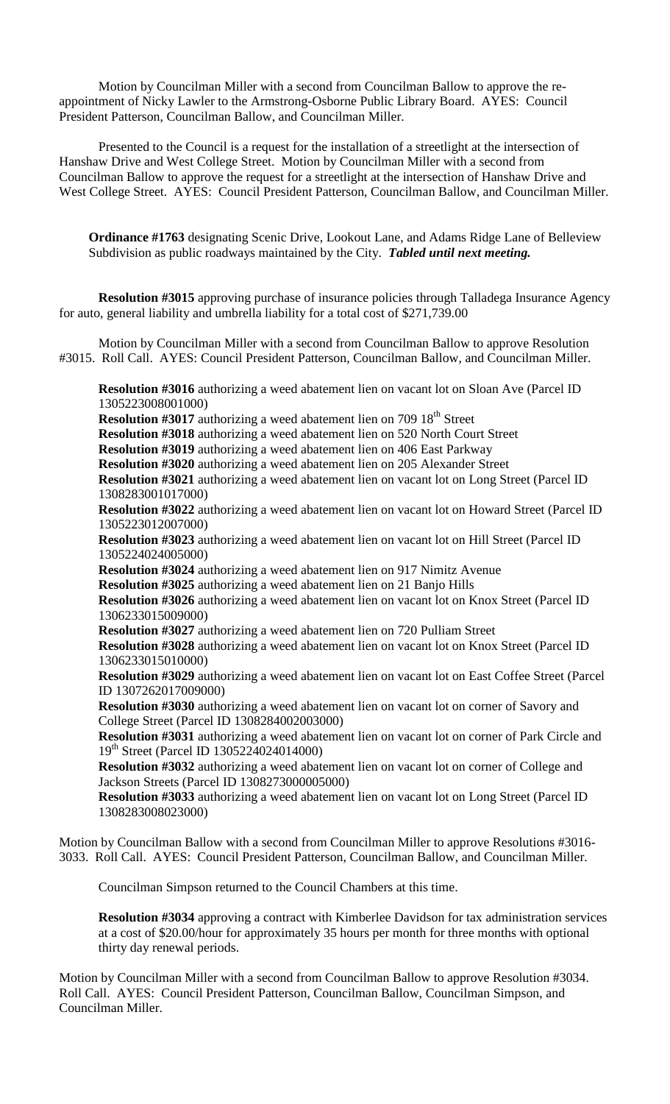Motion by Councilman Miller with a second from Councilman Ballow to approve the reappointment of Nicky Lawler to the Armstrong-Osborne Public Library Board. AYES: Council President Patterson, Councilman Ballow, and Councilman Miller.

Presented to the Council is a request for the installation of a streetlight at the intersection of Hanshaw Drive and West College Street. Motion by Councilman Miller with a second from Councilman Ballow to approve the request for a streetlight at the intersection of Hanshaw Drive and West College Street. AYES: Council President Patterson, Councilman Ballow, and Councilman Miller.

**Ordinance #1763** designating Scenic Drive, Lookout Lane, and Adams Ridge Lane of Belleview Subdivision as public roadways maintained by the City. *Tabled until next meeting.*

**Resolution #3015** approving purchase of insurance policies through Talladega Insurance Agency for auto, general liability and umbrella liability for a total cost of \$271,739.00

Motion by Councilman Miller with a second from Councilman Ballow to approve Resolution #3015. Roll Call. AYES: Council President Patterson, Councilman Ballow, and Councilman Miller.

**Resolution #3016** authorizing a weed abatement lien on vacant lot on Sloan Ave (Parcel ID 1305223008001000)

**Resolution #3017** authorizing a weed abatement lien on 709 18<sup>th</sup> Street

**Resolution #3018** authorizing a weed abatement lien on 520 North Court Street

**Resolution #3019** authorizing a weed abatement lien on 406 East Parkway

**Resolution #3020** authorizing a weed abatement lien on 205 Alexander Street

**Resolution #3021** authorizing a weed abatement lien on vacant lot on Long Street (Parcel ID 1308283001017000)

**Resolution #3022** authorizing a weed abatement lien on vacant lot on Howard Street (Parcel ID 1305223012007000)

**Resolution #3023** authorizing a weed abatement lien on vacant lot on Hill Street (Parcel ID 1305224024005000)

**Resolution #3024** authorizing a weed abatement lien on 917 Nimitz Avenue

**Resolution #3025** authorizing a weed abatement lien on 21 Banjo Hills

**Resolution #3026** authorizing a weed abatement lien on vacant lot on Knox Street (Parcel ID 1306233015009000)

**Resolution #3027** authorizing a weed abatement lien on 720 Pulliam Street

**Resolution #3028** authorizing a weed abatement lien on vacant lot on Knox Street (Parcel ID 1306233015010000)

**Resolution #3029** authorizing a weed abatement lien on vacant lot on East Coffee Street (Parcel ID 1307262017009000)

**Resolution #3030** authorizing a weed abatement lien on vacant lot on corner of Savory and College Street (Parcel ID 1308284002003000)

**Resolution #3031** authorizing a weed abatement lien on vacant lot on corner of Park Circle and 19th Street (Parcel ID 1305224024014000)

**Resolution #3032** authorizing a weed abatement lien on vacant lot on corner of College and Jackson Streets (Parcel ID 1308273000005000)

**Resolution #3033** authorizing a weed abatement lien on vacant lot on Long Street (Parcel ID 1308283008023000)

Motion by Councilman Ballow with a second from Councilman Miller to approve Resolutions #3016- 3033. Roll Call. AYES: Council President Patterson, Councilman Ballow, and Councilman Miller.

Councilman Simpson returned to the Council Chambers at this time.

**Resolution #3034** approving a contract with Kimberlee Davidson for tax administration services at a cost of \$20.00/hour for approximately 35 hours per month for three months with optional thirty day renewal periods.

Motion by Councilman Miller with a second from Councilman Ballow to approve Resolution #3034. Roll Call. AYES: Council President Patterson, Councilman Ballow, Councilman Simpson, and Councilman Miller.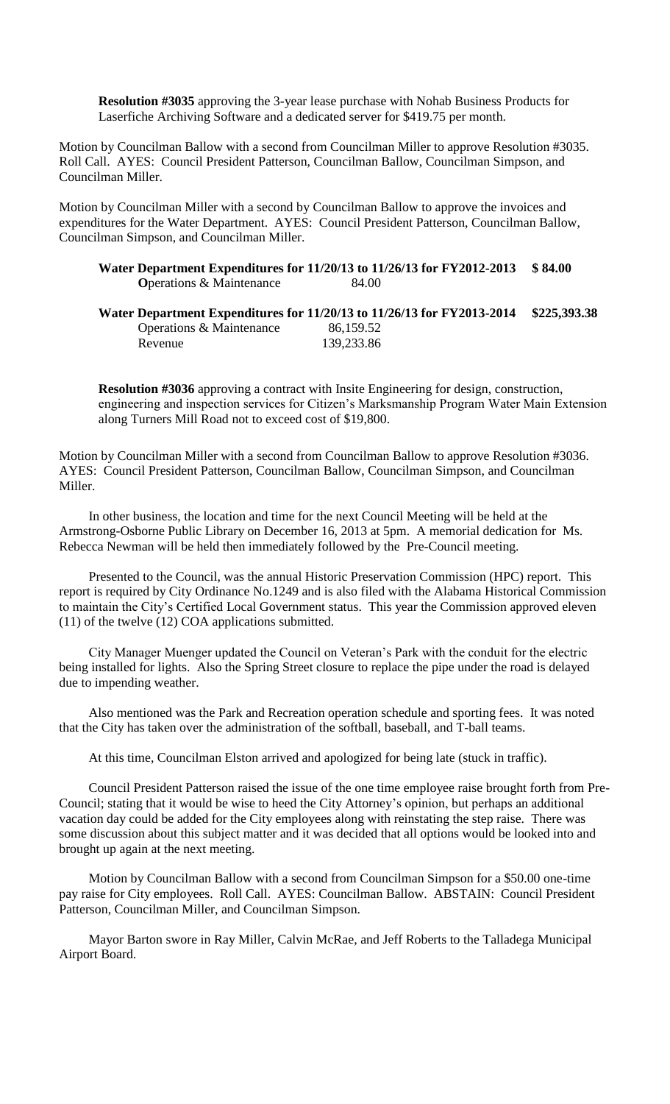**Resolution #3035** approving the 3-year lease purchase with Nohab Business Products for Laserfiche Archiving Software and a dedicated server for \$419.75 per month.

Motion by Councilman Ballow with a second from Councilman Miller to approve Resolution #3035. Roll Call. AYES: Council President Patterson, Councilman Ballow, Councilman Simpson, and Councilman Miller.

Motion by Councilman Miller with a second by Councilman Ballow to approve the invoices and expenditures for the Water Department. AYES: Council President Patterson, Councilman Ballow, Councilman Simpson, and Councilman Miller.

|                                  | Water Department Expenditures for 11/20/13 to 11/26/13 for FY2012-2013 \$84.00 |  |
|----------------------------------|--------------------------------------------------------------------------------|--|
| <b>O</b> perations & Maintenance | 84.00                                                                          |  |

|                          | Water Department Expenditures for 11/20/13 to 11/26/13 for FY2013-2014 | \$225,393.38 |
|--------------------------|------------------------------------------------------------------------|--------------|
| Operations & Maintenance | 86,159.52                                                              |              |
| Revenue                  | 139,233.86                                                             |              |

**Resolution #3036** approving a contract with Insite Engineering for design, construction, engineering and inspection services for Citizen's Marksmanship Program Water Main Extension along Turners Mill Road not to exceed cost of \$19,800.

Motion by Councilman Miller with a second from Councilman Ballow to approve Resolution #3036. AYES: Council President Patterson, Councilman Ballow, Councilman Simpson, and Councilman Miller.

In other business, the location and time for the next Council Meeting will be held at the Armstrong-Osborne Public Library on December 16, 2013 at 5pm. A memorial dedication for Ms. Rebecca Newman will be held then immediately followed by the Pre-Council meeting.

Presented to the Council, was the annual Historic Preservation Commission (HPC) report. This report is required by City Ordinance No.1249 and is also filed with the Alabama Historical Commission to maintain the City's Certified Local Government status. This year the Commission approved eleven (11) of the twelve (12) COA applications submitted.

City Manager Muenger updated the Council on Veteran's Park with the conduit for the electric being installed for lights. Also the Spring Street closure to replace the pipe under the road is delayed due to impending weather.

Also mentioned was the Park and Recreation operation schedule and sporting fees. It was noted that the City has taken over the administration of the softball, baseball, and T-ball teams.

At this time, Councilman Elston arrived and apologized for being late (stuck in traffic).

Council President Patterson raised the issue of the one time employee raise brought forth from Pre-Council; stating that it would be wise to heed the City Attorney's opinion, but perhaps an additional vacation day could be added for the City employees along with reinstating the step raise. There was some discussion about this subject matter and it was decided that all options would be looked into and brought up again at the next meeting.

Motion by Councilman Ballow with a second from Councilman Simpson for a \$50.00 one-time pay raise for City employees. Roll Call. AYES: Councilman Ballow. ABSTAIN: Council President Patterson, Councilman Miller, and Councilman Simpson.

Mayor Barton swore in Ray Miller, Calvin McRae, and Jeff Roberts to the Talladega Municipal Airport Board.